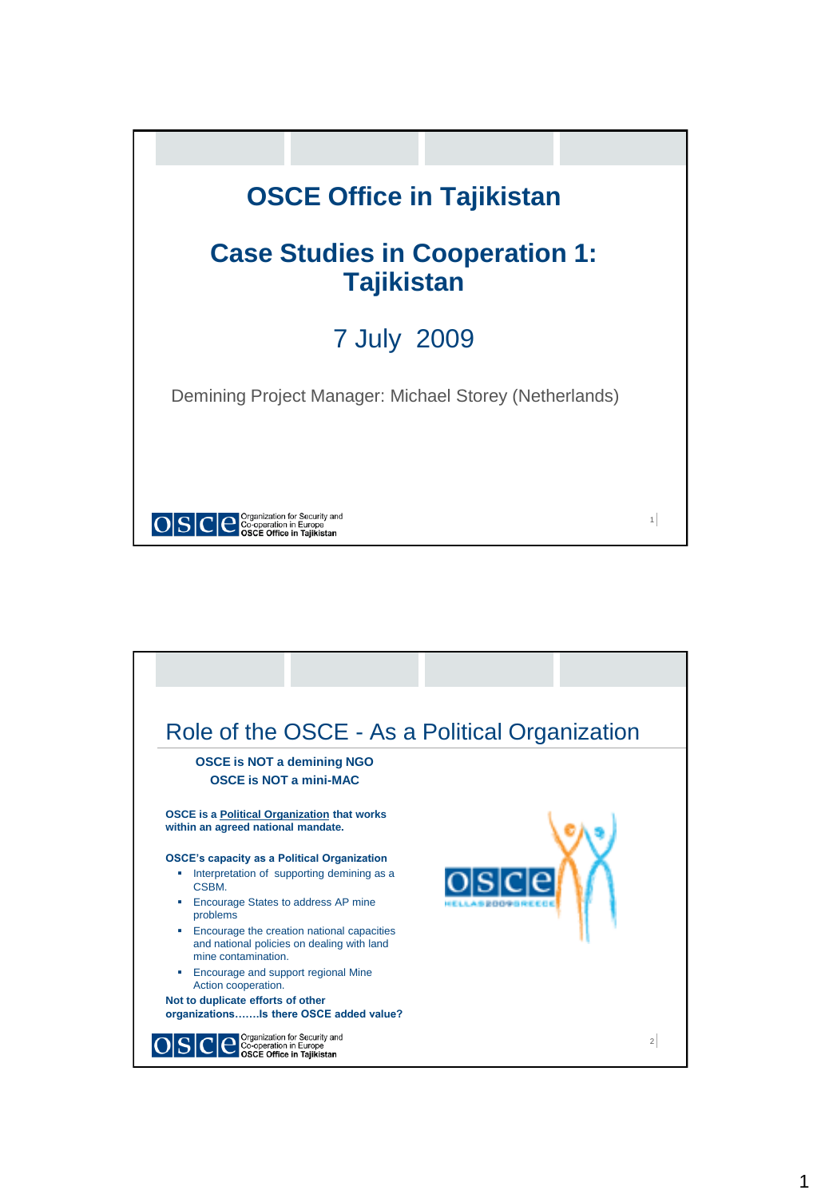

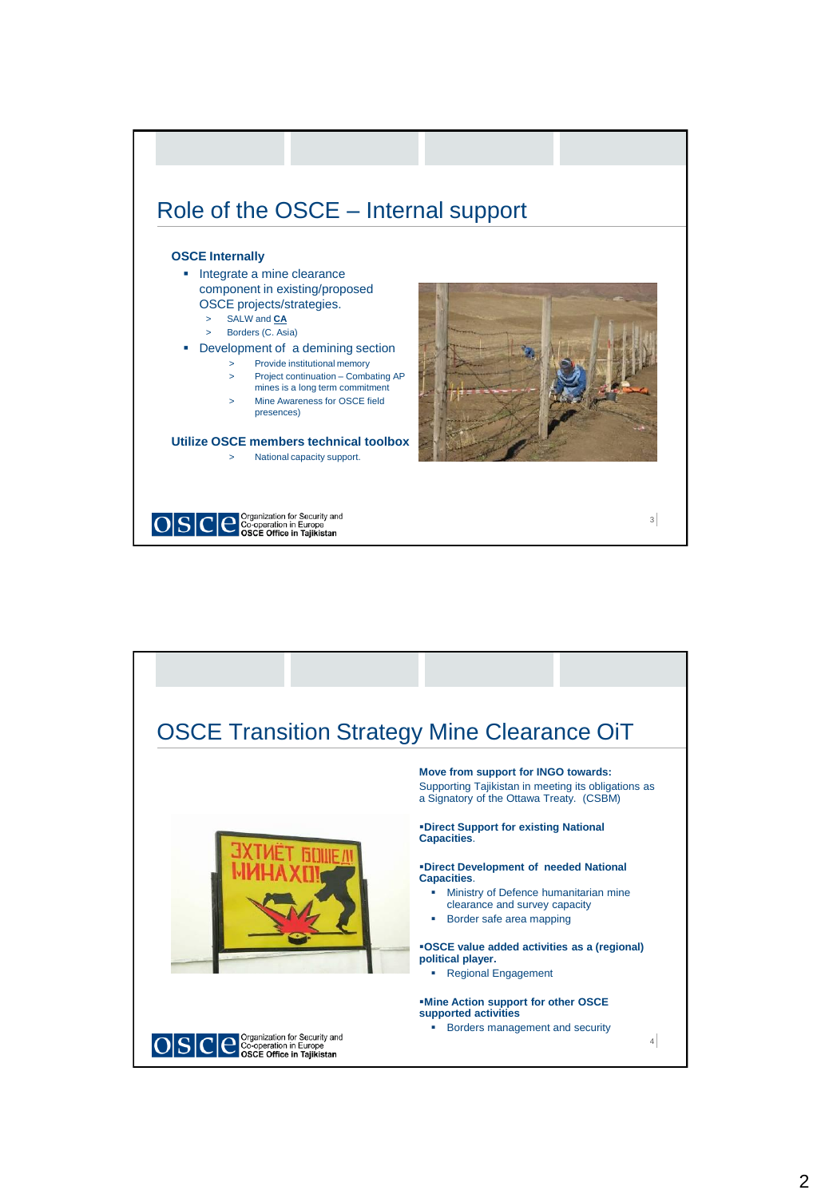

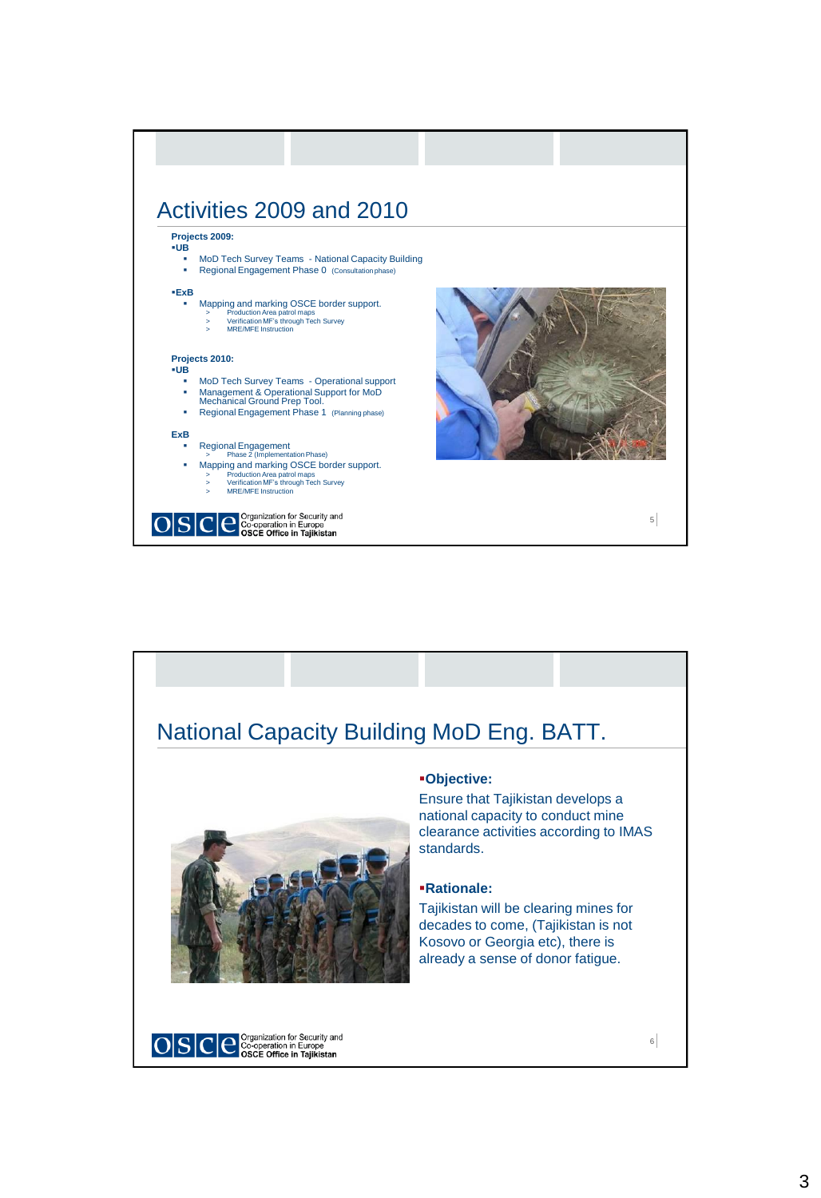

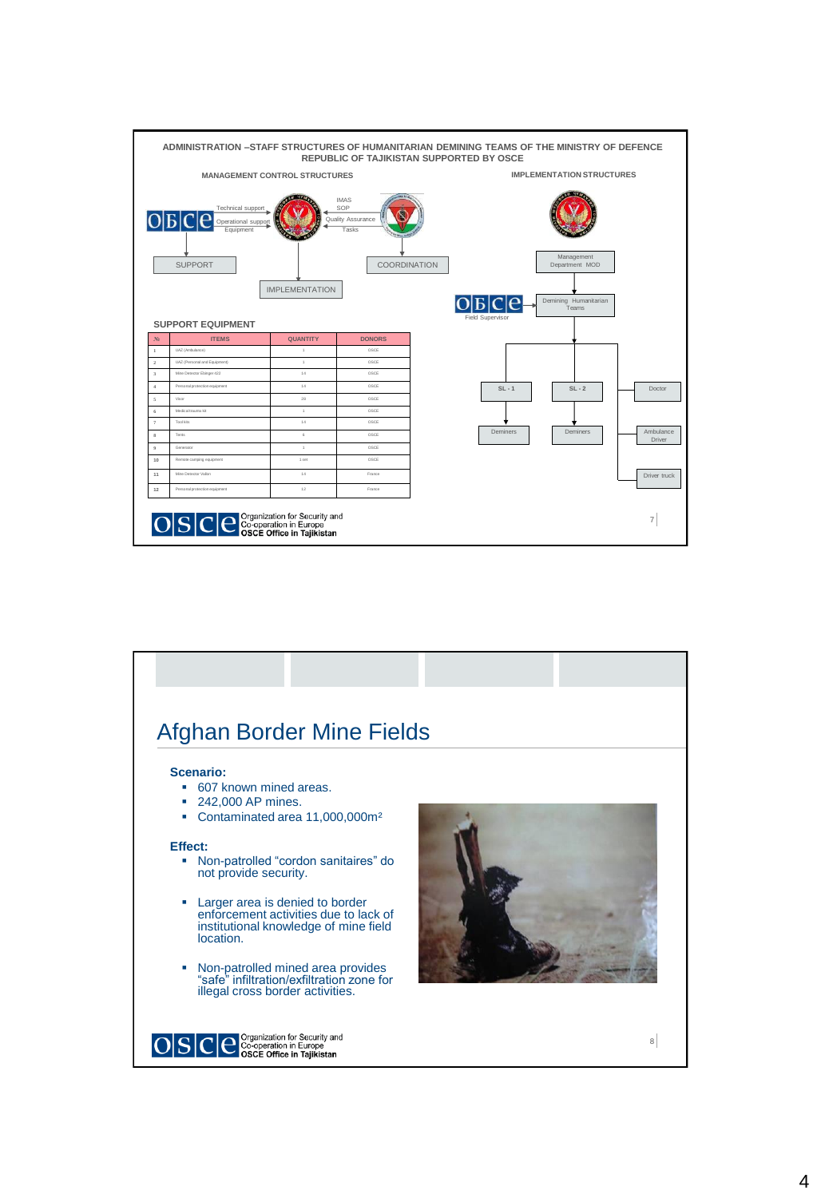

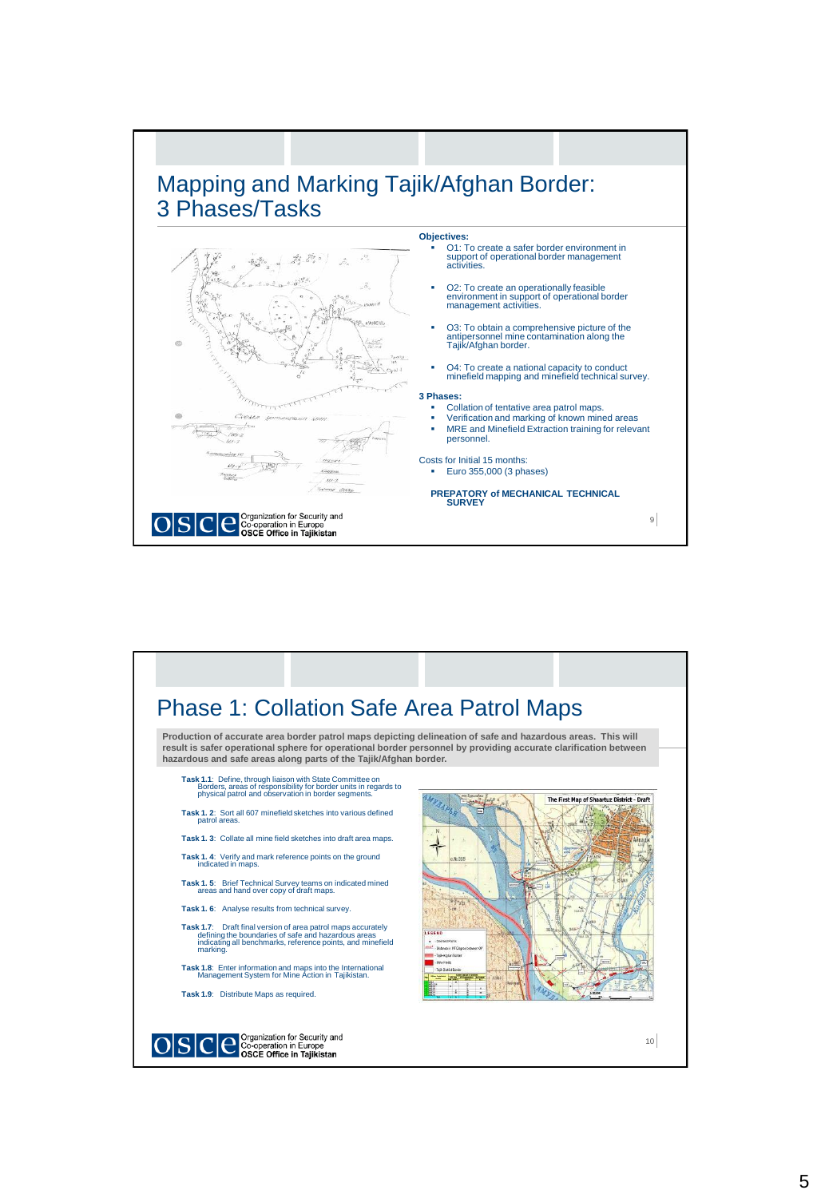